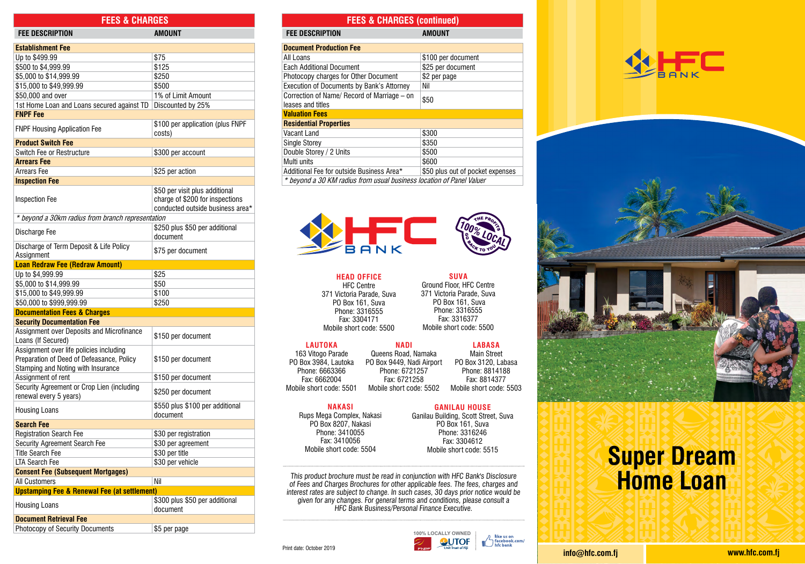| LLO QUINIULO                                                                 |                                                                                                       | <b>I LLU QUINIULU</b><br>lvull                                                                        |           |
|------------------------------------------------------------------------------|-------------------------------------------------------------------------------------------------------|-------------------------------------------------------------------------------------------------------|-----------|
| <b>FEE DESCRIPTION</b>                                                       | <b>AMOUNT</b>                                                                                         | <b>FEE DESCRIPTION</b>                                                                                | <b>AM</b> |
| <b>Establishment Fee</b>                                                     |                                                                                                       | <b>Document Production Fee</b>                                                                        |           |
| Up to \$499.99                                                               | \$75                                                                                                  | All Loans                                                                                             | \$10      |
| \$500 to \$4,999.99                                                          | \$125                                                                                                 | <b>Each Additional Document</b>                                                                       | \$25      |
| \$5,000 to \$14,999.99                                                       | \$250                                                                                                 | Photocopy charges for Other Document                                                                  | \$2       |
| \$15,000 to \$49,999.99                                                      | \$500                                                                                                 | Execution of Documents by Bank's Attorney                                                             | Nil       |
| \$50,000 and over                                                            | 1% of Limit Amount                                                                                    | Correction of Name/ Record of Marriage - on                                                           |           |
| 1st Home Loan and Loans secured against TD                                   | Discounted by 25%                                                                                     | leases and titles                                                                                     | \$50      |
| <b>FNPF Fee</b>                                                              |                                                                                                       | <b>Valuation Fees</b>                                                                                 |           |
| <b>FNPF Housing Application Fee</b>                                          | \$100 per application (plus FNPF<br>costs)                                                            | <b>Residential Properties</b><br>Vacant Land                                                          | \$30      |
| <b>Product Switch Fee</b>                                                    |                                                                                                       | <b>Single Storey</b>                                                                                  | \$35      |
| Switch Fee or Restructure                                                    | \$300 per account                                                                                     | Double Storey / 2 Units                                                                               | \$50      |
| <b>Arrears Fee</b>                                                           |                                                                                                       | Multi units                                                                                           | \$60      |
| Arrears Fee                                                                  | \$25 per action                                                                                       | Additional Fee for outside Business Area*                                                             | \$50      |
|                                                                              |                                                                                                       |                                                                                                       |           |
| <b>Inspection Fee</b>                                                        |                                                                                                       | * beyond a 30 KM radius from usual business local                                                     |           |
| <b>Inspection Fee</b>                                                        | \$50 per visit plus additional<br>charge of \$200 for inspections<br>conducted outside business area* |                                                                                                       |           |
| * beyond a 30km radius from branch representation                            |                                                                                                       |                                                                                                       |           |
| Discharge Fee                                                                | \$250 plus \$50 per additional<br>document                                                            |                                                                                                       |           |
| Discharge of Term Deposit & Life Policy                                      | \$75 per document                                                                                     |                                                                                                       |           |
| Assignment<br><b>Loan Redraw Fee (Redraw Amount)</b>                         |                                                                                                       |                                                                                                       |           |
| Up to \$4,999.99                                                             | \$25                                                                                                  |                                                                                                       |           |
| \$5,000 to \$14,999.99                                                       | \$50                                                                                                  | <b>HEAD OFFICE</b>                                                                                    |           |
|                                                                              | \$100                                                                                                 | <b>HFC Centre</b>                                                                                     | Gro       |
| \$15,000 to \$49,999.99                                                      | \$250                                                                                                 | 371 Victoria Parade, Suva<br>PO Box 161, Suva                                                         | 371       |
| \$50,000 to \$999,999.99                                                     |                                                                                                       | Phone: 3316555                                                                                        |           |
| <b>Documentation Fees &amp; Charges</b><br><b>Security Documentation Fee</b> |                                                                                                       | Fax: 3304171                                                                                          |           |
| Assignment over Deposits and Microfinance                                    |                                                                                                       | Mobile short code: 5500                                                                               | Mo        |
| Loans (If Secured)                                                           | \$150 per document                                                                                    | <b>LAUTOKA</b><br><b>NADI</b>                                                                         |           |
| Assignment over life policies including                                      |                                                                                                       | 163 Vitogo Parade<br>Queens Road, Namal                                                               |           |
| Preparation of Deed of Defeasance, Policy                                    | \$150 per document                                                                                    | PO Box 3984, Lautoka<br>PO Box 9449, Nadi Airp                                                        |           |
| Stamping and Noting with Insurance                                           |                                                                                                       | Phone: 6663366<br>Phone: 6721257                                                                      |           |
| Assignment of rent                                                           | \$150 per document                                                                                    | Fax: 6662004<br>Fax: 6721258                                                                          |           |
| Security Agreement or Crop Lien (including<br>renewal every 5 years)         | \$250 per document                                                                                    | Mobile short code: 5501<br>Mobile short code: 55                                                      |           |
| <b>Housing Loans</b>                                                         | \$550 plus \$100 per additional<br>document                                                           | <b>NAKASI</b>                                                                                         |           |
| <b>Search Fee</b>                                                            |                                                                                                       | Rups Mega Complex, Nakasi<br>PO Box 8207, Nakasi                                                      | Ganilau   |
| <b>Registration Search Fee</b>                                               | \$30 per registration                                                                                 | Phone: 3410055                                                                                        |           |
| Security Agreement Search Fee                                                | \$30 per agreement                                                                                    | Fax: 3410056                                                                                          |           |
| <b>Title Search Fee</b>                                                      | \$30 per title                                                                                        | Mobile short code: 5504                                                                               | M         |
| <b>LTA Search Fee</b>                                                        | \$30 per vehicle                                                                                      |                                                                                                       |           |
|                                                                              |                                                                                                       |                                                                                                       |           |
| <b>Consent Fee (Subsequent Mortgages)</b><br>Nil<br>All Customers            |                                                                                                       | This product brochure must be read in conjunctio                                                      |           |
| <b>Upstamping Fee &amp; Renewal Fee (at settlement)</b>                      |                                                                                                       | of Fees and Charges Brochures for other applicab                                                      |           |
|                                                                              | \$300 plus \$50 per additional                                                                        | interest rates are subject to change. In such cases<br>given for any changes. For general terms and c |           |
| <b>Housing Loans</b>                                                         | document                                                                                              | HFC Bank Business/Personal Fina                                                                       |           |
| <b>Document Retrieval Fee</b>                                                |                                                                                                       |                                                                                                       |           |
| Photocopy of Security Documents                                              | \$5 per page                                                                                          |                                                                                                       |           |

## **FEES & CHARGES FEES & CHARGES (continued)**

| <b>FEE DESCRIPTION</b>                                               | AMOUNT                           |  |  |
|----------------------------------------------------------------------|----------------------------------|--|--|
| <b>Document Production Fee</b>                                       |                                  |  |  |
| All Loans                                                            | \$100 per document               |  |  |
| <b>Each Additional Document</b>                                      | \$25 per document                |  |  |
| Photocopy charges for Other Document                                 | \$2 per page                     |  |  |
| Execution of Documents by Bank's Attorney                            | Nil                              |  |  |
| Correction of Name/ Record of Marriage – on                          | \$50                             |  |  |
| leases and titles                                                    |                                  |  |  |
| <b>Valuation Fees</b>                                                |                                  |  |  |
| <b>Residential Properties</b>                                        |                                  |  |  |
| Vacant Land                                                          | \$300                            |  |  |
| <b>Single Storey</b>                                                 | \$350                            |  |  |
| Double Storey / 2 Units                                              | \$500                            |  |  |
| Multi units                                                          | \$600                            |  |  |
| Additional Fee for outside Business Area*                            | \$50 plus out of pocket expenses |  |  |
| * beyond a 30 KM radius from usual business location of Panel Valuer |                                  |  |  |
|                                                                      |                                  |  |  |



**SUVA** Ground Floor, HFC Centre 371 Victoria Parade, Suva PO Box 161, Suva Phone: 3316555 Fax: 3316377 Mobile short code: 5500

Queens Road, Namaka PO Box 9449, Nadi Airport Phone: 6721257 Fax: 6721258 Mobile short code: 5502 **LABASA** Main Street PO Box 3120, Labasa Phone: 8814188 Fax: 8814377 Mobile short code: 5503

#### **NAKASI**

**GANILAU HOUSE** Ganilau Building, Scott Street, Suva PO Box 161, Suva Phone: 3316246 Fax: 3304612 Mobile short code: 5515

This product brochure must be read in conjunction with HFC Bank's Disclosure of Fees and Charges Brochures for other applicable fees. The fees, charges and interest rates are subject to change. In such cases, 30 days prior notice would be given for any changes. For general terms and conditions, please consult a HFC Bank Business/Personal Finance Executive.







# **A** sample product product **to suit execut.**<br>Market everyone **Super Dream Home Loan**

Print date: October 2019